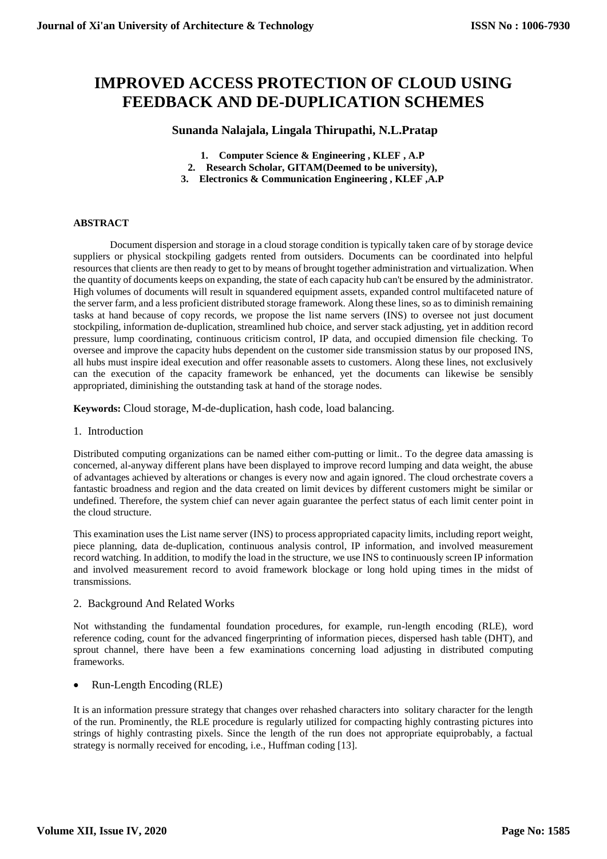# **IMPROVED ACCESS PROTECTION OF CLOUD USING FEEDBACK AND DE-DUPLICATION SCHEMES**

# **Sunanda Nalajala, Lingala Thirupathi, N.L.Pratap**

- **1. Computer Science & Engineering , KLEF , A.P**
- **2. Research Scholar, GITAM(Deemed to be university),**
- **3. Electronics & Communication Engineering , KLEF ,A.P**

#### **ABSTRACT**

Document dispersion and storage in a cloud storage condition is typically taken care of by storage device suppliers or physical stockpiling gadgets rented from outsiders. Documents can be coordinated into helpful resources that clients are then ready to get to by means of brought together administration and virtualization. When the quantity of documents keeps on expanding, the state of each capacity hub can't be ensured by the administrator. High volumes of documents will result in squandered equipment assets, expanded control multifaceted nature of the server farm, and a less proficient distributed storage framework. Along these lines, so as to diminish remaining tasks at hand because of copy records, we propose the list name servers (INS) to oversee not just document stockpiling, information de-duplication, streamlined hub choice, and server stack adjusting, yet in addition record pressure, lump coordinating, continuous criticism control, IP data, and occupied dimension file checking. To oversee and improve the capacity hubs dependent on the customer side transmission status by our proposed INS, all hubs must inspire ideal execution and offer reasonable assets to customers. Along these lines, not exclusively can the execution of the capacity framework be enhanced, yet the documents can likewise be sensibly appropriated, diminishing the outstanding task at hand of the storage nodes.

**Keywords:** Cloud storage, M-de-duplication, hash code, load balancing.

1. Introduction

Distributed computing organizations can be named either com-putting or limit.. To the degree data amassing is concerned, al-anyway different plans have been displayed to improve record lumping and data weight, the abuse of advantages achieved by alterations or changes is every now and again ignored. The cloud orchestrate covers a fantastic broadness and region and the data created on limit devices by different customers might be similar or undefined. Therefore, the system chief can never again guarantee the perfect status of each limit center point in the cloud structure.

This examination uses the List name server (INS) to process appropriated capacity limits, including report weight, piece planning, data de-duplication, continuous analysis control, IP information, and involved measurement record watching. In addition, to modify the load in the structure, we use INS to continuously screen IP information and involved measurement record to avoid framework blockage or long hold uping times in the midst of transmissions.

#### 2. Background And Related Works

Not withstanding the fundamental foundation procedures, for example, run-length encoding (RLE), word reference coding, count for the advanced fingerprinting of information pieces, dispersed hash table (DHT), and sprout channel, there have been a few examinations concerning load adjusting in distributed computing frameworks.

Run-Length Encoding (RLE)

It is an information pressure strategy that changes over rehashed characters into solitary character for the length of the run. Prominently, the RLE procedure is regularly utilized for compacting highly contrasting pictures into strings of highly contrasting pixels. Since the length of the run does not appropriate equiprobably, a factual strategy is normally received for encoding, i.e., Huffman coding [13].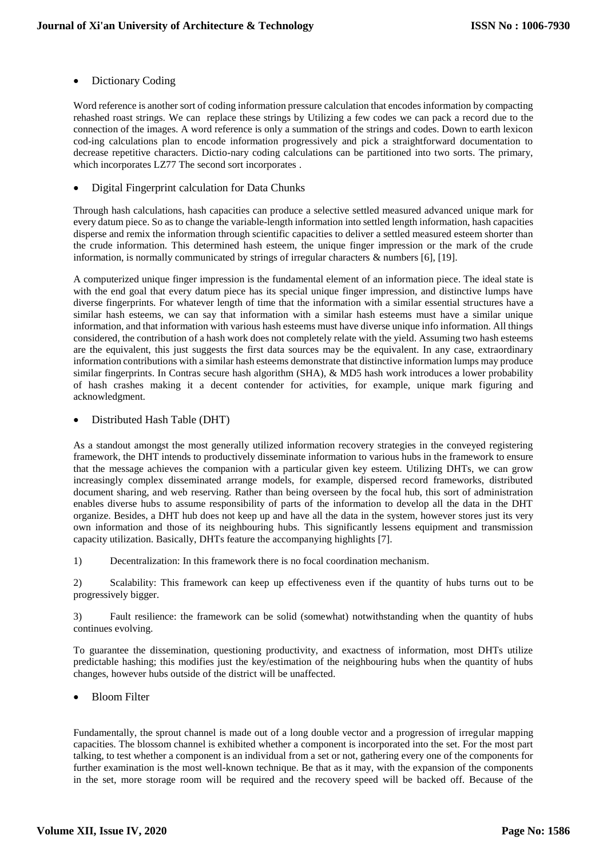# Dictionary Coding

Word reference is another sort of coding information pressure calculation that encodes information by compacting rehashed roast strings. We can replace these strings by Utilizing a few codes we can pack a record due to the connection of the images. A word reference is only a summation of the strings and codes. Down to earth lexicon cod-ing calculations plan to encode information progressively and pick a straightforward documentation to decrease repetitive characters. Dictio-nary coding calculations can be partitioned into two sorts. The primary, which incorporates LZ77 The second sort incorporates .

Digital Fingerprint calculation for Data Chunks

Through hash calculations, hash capacities can produce a selective settled measured advanced unique mark for every datum piece. So as to change the variable-length information into settled length information, hash capacities disperse and remix the information through scientific capacities to deliver a settled measured esteem shorter than the crude information. This determined hash esteem, the unique finger impression or the mark of the crude information, is normally communicated by strings of irregular characters & numbers [6], [19].

A computerized unique finger impression is the fundamental element of an information piece. The ideal state is with the end goal that every datum piece has its special unique finger impression, and distinctive lumps have diverse fingerprints. For whatever length of time that the information with a similar essential structures have a similar hash esteems, we can say that information with a similar hash esteems must have a similar unique information, and that information with various hash esteems must have diverse unique info information. All things considered, the contribution of a hash work does not completely relate with the yield. Assuming two hash esteems are the equivalent, this just suggests the first data sources may be the equivalent. In any case, extraordinary information contributions with a similar hash esteems demonstrate that distinctive information lumps may produce similar fingerprints. In Contras secure hash algorithm (SHA), & MD5 hash work introduces a lower probability of hash crashes making it a decent contender for activities, for example, unique mark figuring and acknowledgment.

# • Distributed Hash Table (DHT)

As a standout amongst the most generally utilized information recovery strategies in the conveyed registering framework, the DHT intends to productively disseminate information to various hubs in the framework to ensure that the message achieves the companion with a particular given key esteem. Utilizing DHTs, we can grow increasingly complex disseminated arrange models, for example, dispersed record frameworks, distributed document sharing, and web reserving. Rather than being overseen by the focal hub, this sort of administration enables diverse hubs to assume responsibility of parts of the information to develop all the data in the DHT organize. Besides, a DHT hub does not keep up and have all the data in the system, however stores just its very own information and those of its neighbouring hubs. This significantly lessens equipment and transmission capacity utilization. Basically, DHTs feature the accompanying highlights [7].

1) Decentralization: In this framework there is no focal coordination mechanism.

2) Scalability: This framework can keep up effectiveness even if the quantity of hubs turns out to be progressively bigger.

3) Fault resilience: the framework can be solid (somewhat) notwithstanding when the quantity of hubs continues evolving.

To guarantee the dissemination, questioning productivity, and exactness of information, most DHTs utilize predictable hashing; this modifies just the key/estimation of the neighbouring hubs when the quantity of hubs changes, however hubs outside of the district will be unaffected.

# Bloom Filter

Fundamentally, the sprout channel is made out of a long double vector and a progression of irregular mapping capacities. The blossom channel is exhibited whether a component is incorporated into the set. For the most part talking, to test whether a component is an individual from a set or not, gathering every one of the components for further examination is the most well-known technique. Be that as it may, with the expansion of the components in the set, more storage room will be required and the recovery speed will be backed off. Because of the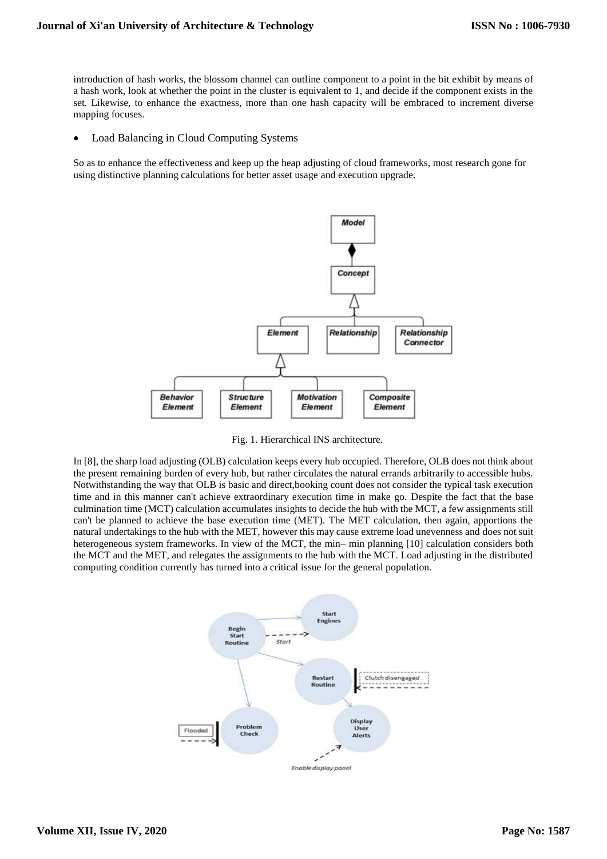introduction of hash works, the blossom channel can outline component to a point in the bit exhibit by means of a hash work, look at whether the point in the cluster is equivalent to 1, and decide if the component exists in the set. Likewise, to enhance the exactness, more than one hash capacity will be embraced to increment diverse mapping focuses.

• Load Balancing in Cloud Computing Systems

So as to enhance the effectiveness and keep up the heap adjusting of cloud frameworks, most research gone for using distinctive planning calculations for better asset usage and execution upgrade.



Fig. 1. Hierarchical INS architecture.

In [8], the sharp load adjusting (OLB) calculation keeps every hub occupied. Therefore, OLB does not think about the present remaining burden of every hub, but rather circulates the natural errands arbitrarily to accessible hubs. Notwithstanding the way that OLB is basic and direct,booking count does not consider the typical task execution time and in this manner can't achieve extraordinary execution time in make go. Despite the fact that the base culmination time (MCT) calculation accumulates insights to decide the hub with the MCT, a few assignments still can't be planned to achieve the base execution time (MET). The MET calculation, then again, apportions the natural undertakings to the hub with the MET, however this may cause extreme load unevenness and does not suit heterogeneous system frameworks. In view of the MCT, the min– min planning [10] calculation considers both the MCT and the MET, and relegates the assignments to the hub with the MCT. Load adjusting in the distributed computing condition currently has turned into a critical issue for the general population.

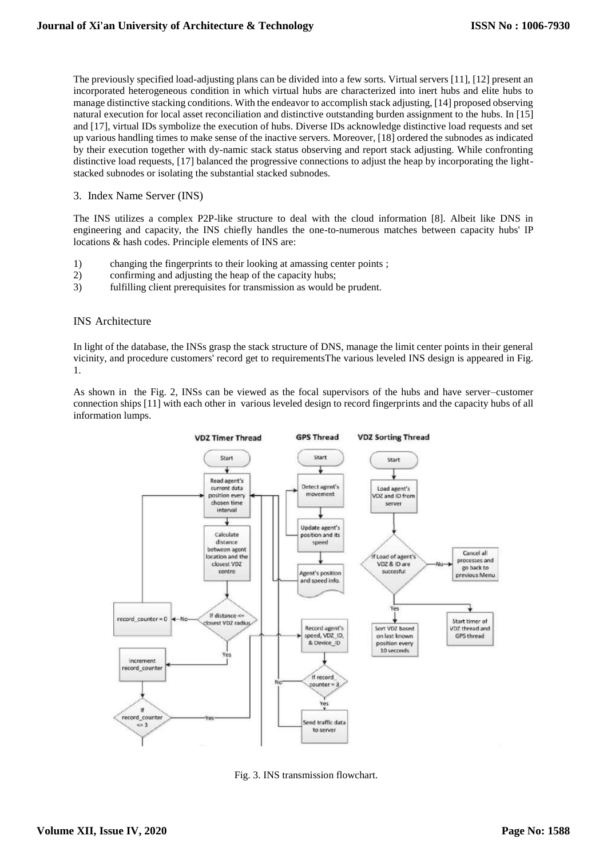The previously specified load-adjusting plans can be divided into a few sorts. Virtual servers [11], [12] present an incorporated heterogeneous condition in which virtual hubs are characterized into inert hubs and elite hubs to manage distinctive stacking conditions. With the endeavor to accomplish stack adjusting, [14] proposed observing natural execution for local asset reconciliation and distinctive outstanding burden assignment to the hubs. In [15] and [17], virtual IDs symbolize the execution of hubs. Diverse IDs acknowledge distinctive load requests and set up various handling times to make sense of the inactive servers. Moreover, [18] ordered the subnodes as indicated by their execution together with dy-namic stack status observing and report stack adjusting. While confronting distinctive load requests, [17] balanced the progressive connections to adjust the heap by incorporating the lightstacked subnodes or isolating the substantial stacked subnodes.

3. Index Name Server (INS)

The INS utilizes a complex P2P-like structure to deal with the cloud information [8]. Albeit like DNS in engineering and capacity, the INS chiefly handles the one-to-numerous matches between capacity hubs' IP locations & hash codes. Principle elements of INS are:

- 1) changing the fingerprints to their looking at amassing center points ;
- 2) confirming and adjusting the heap of the capacity hubs;
- 3) fulfilling client prerequisites for transmission as would be prudent.

#### INS Architecture

In light of the database, the INSs grasp the stack structure of DNS, manage the limit center points in their general vicinity, and procedure customers' record get to requirementsThe various leveled INS design is appeared in Fig. 1.

As shown in the Fig. 2, INSs can be viewed as the focal supervisors of the hubs and have server–customer connection ships [11] with each other in various leveled design to record fingerprints and the capacity hubs of all information lumps.



Fig. 3. INS transmission flowchart.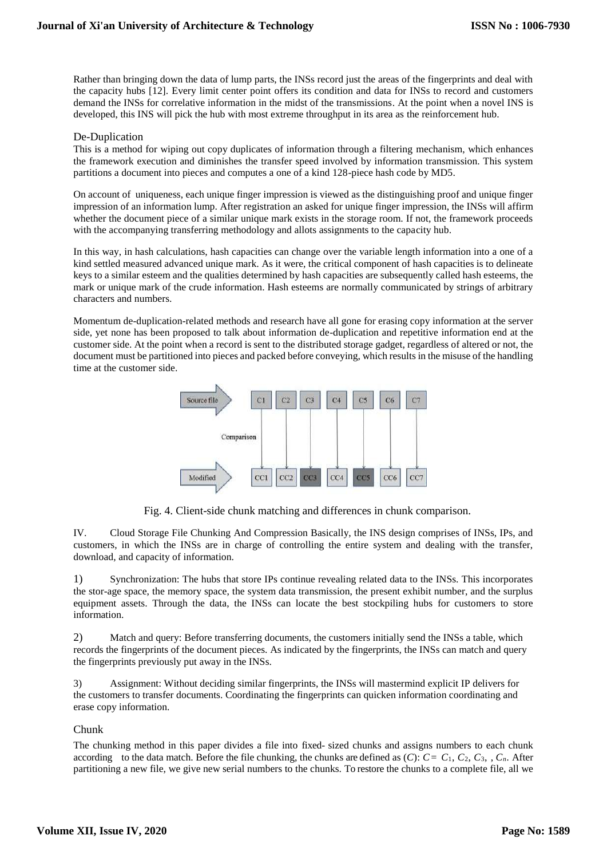Rather than bringing down the data of lump parts, the INSs record just the areas of the fingerprints and deal with the capacity hubs [12]. Every limit center point offers its condition and data for INSs to record and customers demand the INSs for correlative information in the midst of the transmissions. At the point when a novel INS is developed, this INS will pick the hub with most extreme throughput in its area as the reinforcement hub.

# De-Duplication

This is a method for wiping out copy duplicates of information through a filtering mechanism, which enhances the framework execution and diminishes the transfer speed involved by information transmission. This system partitions a document into pieces and computes a one of a kind 128-piece hash code by MD5.

On account of uniqueness, each unique finger impression is viewed as the distinguishing proof and unique finger impression of an information lump. After registration an asked for unique finger impression, the INSs will affirm whether the document piece of a similar unique mark exists in the storage room. If not, the framework proceeds with the accompanying transferring methodology and allots assignments to the capacity hub.

In this way, in hash calculations, hash capacities can change over the variable length information into a one of a kind settled measured advanced unique mark. As it were, the critical component of hash capacities is to delineate keys to a similar esteem and the qualities determined by hash capacities are subsequently called hash esteems, the mark or unique mark of the crude information. Hash esteems are normally communicated by strings of arbitrary characters and numbers.

Momentum de-duplication-related methods and research have all gone for erasing copy information at the server side, yet none has been proposed to talk about information de-duplication and repetitive information end at the customer side. At the point when a record is sent to the distributed storage gadget, regardless of altered or not, the document must be partitioned into pieces and packed before conveying, which results in the misuse of the handling time at the customer side.



Fig. 4. Client-side chunk matching and differences in chunk comparison.

IV. Cloud Storage File Chunking And Compression Basically, the INS design comprises of INSs, IPs, and customers, in which the INSs are in charge of controlling the entire system and dealing with the transfer, download, and capacity of information.

1) Synchronization: The hubs that store IPs continue revealing related data to the INSs. This incorporates the stor-age space, the memory space, the system data transmission, the present exhibit number, and the surplus equipment assets. Through the data, the INSs can locate the best stockpiling hubs for customers to store information.

2) Match and query: Before transferring documents, the customers initially send the INSs a table, which records the fingerprints of the document pieces. As indicated by the fingerprints, the INSs can match and query the fingerprints previously put away in the INSs.

3) Assignment: Without deciding similar fingerprints, the INSs will mastermind explicit IP delivers for the customers to transfer documents. Coordinating the fingerprints can quicken information coordinating and erase copy information.

# Chunk

The chunking method in this paper divides a file into fixed- sized chunks and assigns numbers to each chunk according to the data match. Before the file chunking, the chunks are defined as  $(C)$ :  $C = C_1, C_2, C_3, \ldots, C_n$ . After partitioning a new file, we give new serial numbers to the chunks. To restore the chunks to a complete file, all we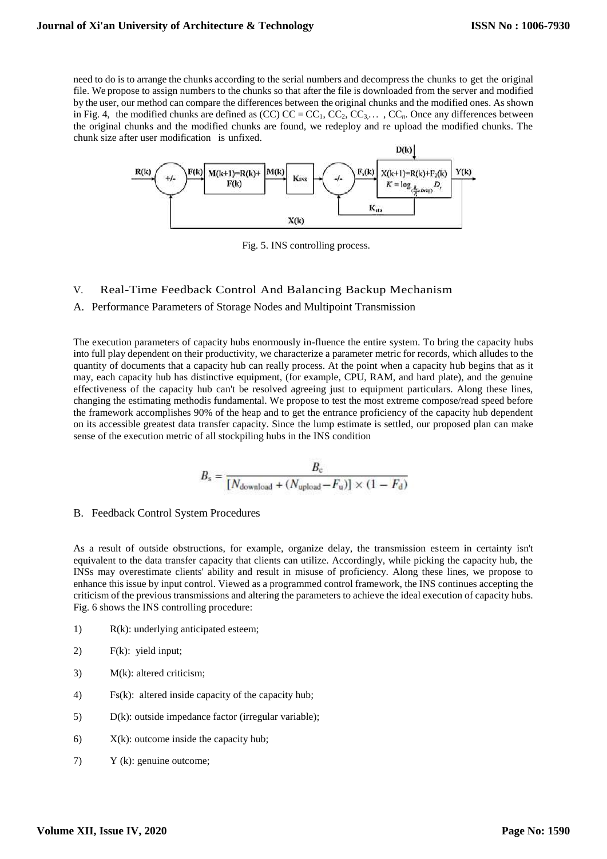need to do is to arrange the chunks according to the serial numbers and decompress the chunks to get the original file. We propose to assign numbers to the chunks so that after the file is downloaded from the server and modified by the user, our method can compare the differences between the original chunks and the modified ones. As shown in Fig. 4, the modified chunks are defined as (CC)  $CC = CC_1$ ,  $CC_2$ ,  $CC_3$ , $\ldots$ ,  $CC_n$ . Once any differences between the original chunks and the modified chunks are found, we redeploy and re upload the modified chunks. The chunk size after user modification is unfixed.



Fig. 5. INS controlling process.

# V. Real-Time Feedback Control And Balancing Backup Mechanism

#### A. Performance Parameters of Storage Nodes and Multipoint Transmission

The execution parameters of capacity hubs enormously in-fluence the entire system. To bring the capacity hubs into full play dependent on their productivity, we characterize a parameter metric for records, which alludes to the quantity of documents that a capacity hub can really process. At the point when a capacity hub begins that as it may, each capacity hub has distinctive equipment, (for example, CPU, RAM, and hard plate), and the genuine effectiveness of the capacity hub can't be resolved agreeing just to equipment particulars. Along these lines, changing the estimating methodis fundamental. We propose to test the most extreme compose/read speed before the framework accomplishes 90% of the heap and to get the entrance proficiency of the capacity hub dependent on its accessible greatest data transfer capacity. Since the lump estimate is settled, our proposed plan can make sense of the execution metric of all stockpiling hubs in the INS condition

$$
B_{\rm s} = \frac{B_{\rm c}}{[N_{\rm download} + (N_{\rm upload} - F_{\rm u})] \times (1 - F_{\rm d})}
$$

B. Feedback Control System Procedures

As a result of outside obstructions, for example, organize delay, the transmission esteem in certainty isn't equivalent to the data transfer capacity that clients can utilize. Accordingly, while picking the capacity hub, the INSs may overestimate clients' ability and result in misuse of proficiency. Along these lines, we propose to enhance this issue by input control. Viewed as a programmed control framework, the INS continues accepting the criticism of the previous transmissions and altering the parameters to achieve the ideal execution of capacity hubs. Fig. 6 shows the INS controlling procedure:

- 1) R(k): underlying anticipated esteem;
- 2) F(k): yield input;
- 3) M(k): altered criticism;
- 4) Fs(k): altered inside capacity of the capacity hub;
- 5) D(k): outside impedance factor (irregular variable);
- 6)  $X(k)$ : outcome inside the capacity hub;
- 7) Y (k): genuine outcome;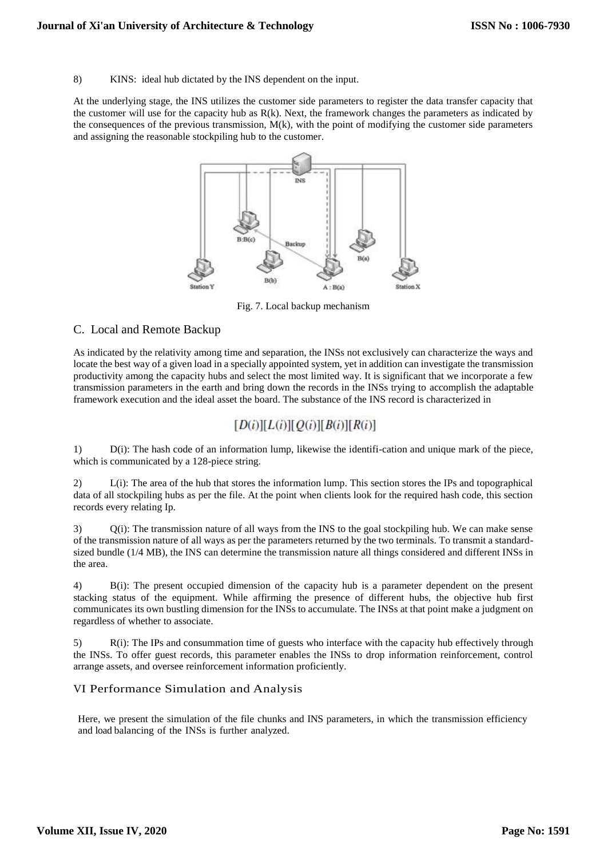8) KINS: ideal hub dictated by the INS dependent on the input.

At the underlying stage, the INS utilizes the customer side parameters to register the data transfer capacity that the customer will use for the capacity hub as  $R(k)$ . Next, the framework changes the parameters as indicated by the consequences of the previous transmission,  $M(k)$ , with the point of modifying the customer side parameters and assigning the reasonable stockpiling hub to the customer.



Fig. 7. Local backup mechanism

# C. Local and Remote Backup

As indicated by the relativity among time and separation, the INSs not exclusively can characterize the ways and locate the best way of a given load in a specially appointed system, yet in addition can investigate the transmission productivity among the capacity hubs and select the most limited way. It is significant that we incorporate a few transmission parameters in the earth and bring down the records in the INSs trying to accomplish the adaptable framework execution and the ideal asset the board. The substance of the INS record is characterized in

# $[D(i)][L(i)][Q(i)][B(i)][R(i)]$

1) D(i): The hash code of an information lump, likewise the identifi-cation and unique mark of the piece, which is communicated by a 128-piece string.

2) L(i): The area of the hub that stores the information lump. This section stores the IPs and topographical data of all stockpiling hubs as per the file. At the point when clients look for the required hash code, this section records every relating Ip.

3) Q(i): The transmission nature of all ways from the INS to the goal stockpiling hub. We can make sense of the transmission nature of all ways as per the parameters returned by the two terminals. To transmit a standardsized bundle (1/4 MB), the INS can determine the transmission nature all things considered and different INSs in the area.

4) B(i): The present occupied dimension of the capacity hub is a parameter dependent on the present stacking status of the equipment. While affirming the presence of different hubs, the objective hub first communicates its own bustling dimension for the INSs to accumulate. The INSs at that point make a judgment on regardless of whether to associate.

5) R(i): The IPs and consummation time of guests who interface with the capacity hub effectively through the INSs. To offer guest records, this parameter enables the INSs to drop information reinforcement, control arrange assets, and oversee reinforcement information proficiently.

# VI Performance Simulation and Analysis

Here, we present the simulation of the file chunks and INS parameters, in which the transmission efficiency and load balancing of the INSs is further analyzed.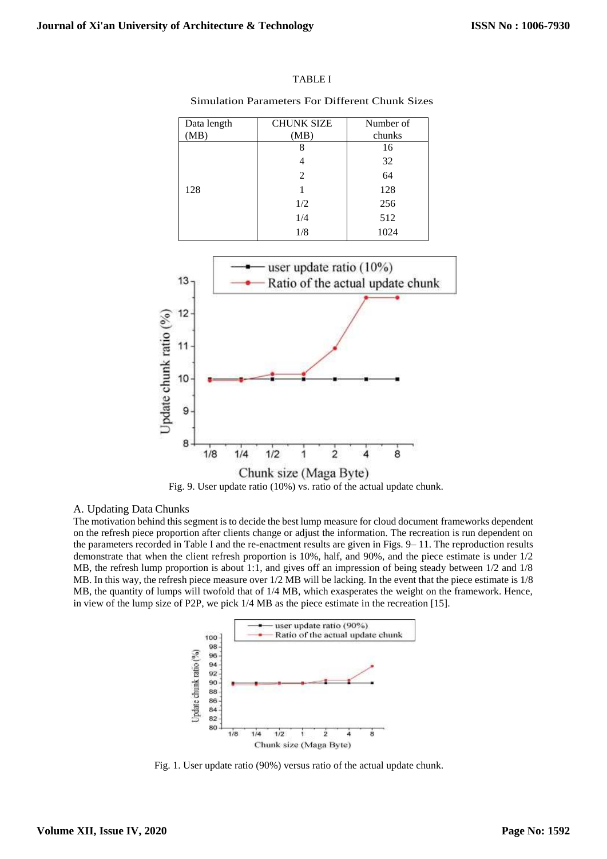Simulation Parameters For Different Chunk Sizes

| Data length | <b>CHUNK SIZE</b> | Number of |
|-------------|-------------------|-----------|
| MB)         | (MB)              | chunks    |
|             |                   | 16        |
|             |                   | 32        |
|             | 2                 | 64        |
| 128         |                   | 128       |
|             | 1/2               | 256       |
|             | 1/4               | 512       |
|             | 1/8               | 1024      |



Fig. 9. User update ratio (10%) vs. ratio of the actual update chunk.

#### A. Updating Data Chunks

The motivation behind this segment is to decide the best lump measure for cloud document frameworks dependent on the refresh piece proportion after clients change or adjust the information. The recreation is run dependent on the parameters recorded in Table I and the re-enactment results are given in Figs. 9– 11. The reproduction results demonstrate that when the client refresh proportion is 10%, half, and 90%, and the piece estimate is under 1/2 MB, the refresh lump proportion is about 1:1, and gives off an impression of being steady between 1/2 and 1/8 MB. In this way, the refresh piece measure over 1/2 MB will be lacking. In the event that the piece estimate is 1/8 MB, the quantity of lumps will twofold that of 1/4 MB, which exasperates the weight on the framework. Hence, in view of the lump size of P2P, we pick 1/4 MB as the piece estimate in the recreation [15].



Fig. 1. User update ratio (90%) versus ratio of the actual update chunk.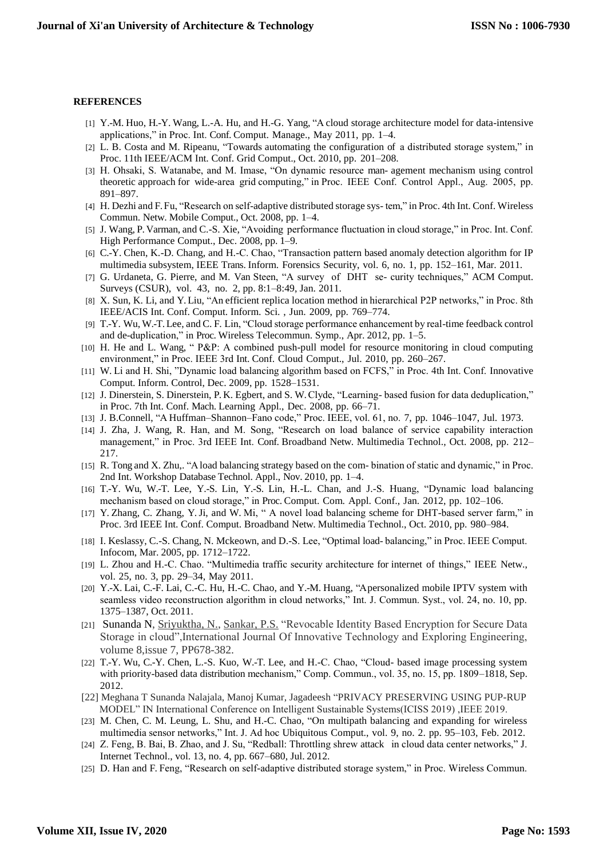#### **REFERENCES**

- [1] Y.-M. Huo, H.-Y. Wang, L.-A. Hu, and H.-G. Yang, "A cloud storage architecture model for data-intensive applications," in Proc. Int. Conf. Comput. Manage., May 2011, pp. 1–4.
- [2] L. B. Costa and M. Ripeanu, "Towards automating the configuration of a distributed storage system," in Proc. 11th IEEE/ACM Int. Conf. Grid Comput., Oct. 2010, pp. 201–208.
- [3] H. Ohsaki, S. Watanabe, and M. Imase, "On dynamic resource man- agement mechanism using control theoretic approach for wide-area grid computing," in Proc. IEEE Conf. Control Appl., Aug. 2005, pp. 891–897.
- [4] H. Dezhi and F. Fu, "Research on self-adaptive distributed storage sys- tem," in Proc. 4th Int. Conf. Wireless Commun. Netw. Mobile Comput., Oct. 2008, pp. 1–4.
- [5] J. Wang, P. Varman, and C.-S. Xie, "Avoiding performance fluctuation in cloud storage," in Proc. Int. Conf. High Performance Comput., Dec. 2008, pp. 1–9.
- [6] C.-Y. Chen, K.-D. Chang, and H.-C. Chao, "Transaction pattern based anomaly detection algorithm for IP multimedia subsystem, IEEE Trans. Inform. Forensics Security, vol. 6, no. 1, pp. 152–161, Mar. 2011.
- [7] G. Urdaneta, G. Pierre, and M. Van Steen, "A survey of DHT se- curity techniques," ACM Comput. Surveys (CSUR), vol. 43, no. 2, pp. 8:1–8:49, Jan. 2011.
- [8] X. Sun, K. Li, and Y. Liu, "An efficient replica location method in hierarchical P2P networks," in Proc. 8th IEEE/ACIS Int. Conf. Comput. Inform. Sci. , Jun. 2009, pp. 769–774.
- [9] T.-Y. Wu, W.-T. Lee, and C. F. Lin, "Cloud storage performance enhancement by real-time feedback control and de-duplication," in Proc. Wireless Telecommun. Symp., Apr. 2012, pp. 1–5.
- [10] H. He and L. Wang, " P&P: A combined push-pull model for resource monitoring in cloud computing environment," in Proc. IEEE 3rd Int. Conf. Cloud Comput., Jul. 2010, pp. 260–267.
- [11] W. Li and H. Shi, "Dynamic load balancing algorithm based on FCFS," in Proc. 4th Int. Conf. Innovative Comput. Inform. Control, Dec. 2009, pp. 1528–1531.
- [12] J. Dinerstein, S. Dinerstein, P. K. Egbert, and S. W. Clyde, "Learning- based fusion for data deduplication," in Proc. 7th Int. Conf. Mach. Learning Appl., Dec. 2008, pp. 66–71.
- [13] J. B.Connell, "A Huffman-Shannon-Fano code," Proc. IEEE, vol. 61, no. 7, pp. 1046-1047, Jul. 1973.
- [14] J. Zha, J. Wang, R. Han, and M. Song, "Research on load balance of service capability interaction management," in Proc. 3rd IEEE Int. Conf. Broadband Netw. Multimedia Technol., Oct. 2008, pp. 212– 217.
- [15] R. Tong and X. Zhu,. "A load balancing strategy based on the com- bination of static and dynamic," in Proc. 2nd Int. Workshop Database Technol. Appl., Nov. 2010, pp. 1–4.
- [16] T.-Y. Wu, W.-T. Lee, Y.-S. Lin, Y.-S. Lin, H.-L. Chan, and J.-S. Huang, "Dynamic load balancing mechanism based on cloud storage," in Proc. Comput. Com. Appl. Conf., Jan. 2012, pp. 102–106.
- [17] Y. Zhang, C. Zhang, Y. Ji, and W. Mi, " A novel load balancing scheme for DHT-based server farm," in Proc. 3rd IEEE Int. Conf. Comput. Broadband Netw. Multimedia Technol., Oct. 2010, pp. 980–984.
- [18] I. Keslassy, C.-S. Chang, N. Mckeown, and D.-S. Lee, "Optimal load- balancing," in Proc. IEEE Comput. Infocom, Mar. 2005, pp. 1712–1722.
- [19] L. Zhou and H.-C. Chao. "Multimedia traffic security architecture for internet of things," IEEE Netw., vol. 25, no. 3, pp. 29–34, May 2011.
- [20] Y.-X. Lai, C.-F. Lai, C.-C. Hu, H.-C. Chao, and Y.-M. Huang, "A personalized mobile IPTV system with seamless video reconstruction algorithm in cloud networks," Int. J. Commun. Syst., vol. 24, no. 10, pp. 1375–1387, Oct. 2011.
- [21] Sunanda N, [Sriyuktha, N.,](https://www.scopus.com/authid/detail.uri?origin=AuthorProfile&authorId=57209463837&zone=) [Sankar, P.S.](https://www.scopus.com/authid/detail.uri?origin=AuthorProfile&authorId=57209470740&zone=) "Revocable Identity Based Encryption for Secure Data Storage in cloud",International Journal Of Innovative Technology and Exploring Engineering, volume 8,issue 7, PP678-382.
- [22] T.-Y. Wu, C.-Y. Chen, L.-S. Kuo, W.-T. Lee, and H.-C. Chao, "Cloud- based image processing system with priority-based data distribution mechanism," Comp. Commun., vol. 35, no. 15, pp. 1809–1818, Sep. 2012.
- [22] Meghana T Sunanda Nalajala, Manoj Kumar, Jagadeesh "PRIVACY PRESERVING USING PUP-RUP MODEL" IN International Conference on Intelligent Sustainable Systems(ICISS 2019) ,IEEE 2019.
- [23] M. Chen, C. M. Leung, L. Shu, and H.-C. Chao, "On multipath balancing and expanding for wireless multimedia sensor networks," Int. J. Ad hoc Ubiquitous Comput., vol. 9, no. 2. pp. 95–103, Feb. 2012.
- [24] Z. Feng, B. Bai, B. Zhao, and J. Su, "Redball: Throttling shrew attack in cloud data center networks," J. Internet Technol., vol. 13, no. 4, pp. 667–680, Jul. 2012.
- [25] D. Han and F. Feng, "Research on self-adaptive distributed storage system," in Proc. Wireless Commun.